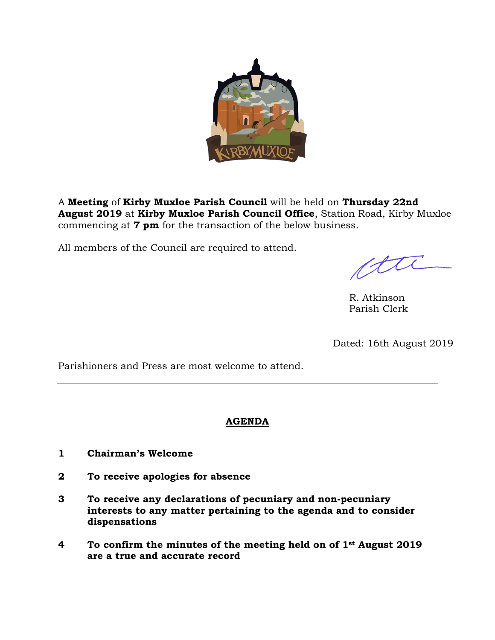

A **Meeting** of **Kirby Muxloe Parish Council** will be held on **Thursday 22nd August 2019** at **Kirby Muxloe Parish Council Office**, Station Road, Kirby Muxloe commencing at **7 pm** for the transaction of the below business.

All members of the Council are required to attend.

R. Atkinson Parish Clerk

Dated: 16th August 2019

Parishioners and Press are most welcome to attend.

### **AGENDA**

- **1 Chairman's Welcome**
- **2 To receive apologies for absence**
- **3 To receive any declarations of pecuniary and non-pecuniary interests to any matter pertaining to the agenda and to consider dispensations**
- **4 To confirm the minutes of the meeting held on of 1st August 2019 are a true and accurate record**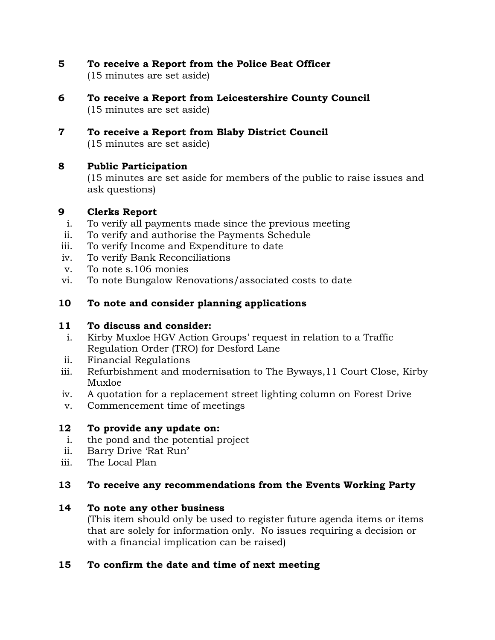**5 To receive a Report from the Police Beat Officer**

(15 minutes are set aside)

- **6 To receive a Report from Leicestershire County Council** (15 minutes are set aside)
- **7 To receive a Report from Blaby District Council** (15 minutes are set aside)

## **8 Public Participation**

(15 minutes are set aside for members of the public to raise issues and ask questions)

# **9 Clerks Report**

- i. To verify all payments made since the previous meeting
- ii. To verify and authorise the Payments Schedule
- iii. To verify Income and Expenditure to date
- iv. To verify Bank Reconciliations
- v. To note s.106 monies
- vi. To note Bungalow Renovations/associated costs to date
- **10 To note and consider planning applications**

## **11 To discuss and consider:**

- i. Kirby Muxloe HGV Action Groups' request in relation to a Traffic Regulation Order (TRO) for Desford Lane
- ii. Financial Regulations
- iii. Refurbishment and modernisation to The Byways,11 Court Close, Kirby Muxloe
- iv. A quotation for a replacement street lighting column on Forest Drive
- v. Commencement time of meetings

# **12 To provide any update on:**

- i. the pond and the potential project
- ii. Barry Drive 'Rat Run'
- iii. The Local Plan

## **13 To receive any recommendations from the Events Working Party**

## **14 To note any other business**

(This item should only be used to register future agenda items or items that are solely for information only. No issues requiring a decision or with a financial implication can be raised)

## **15 To confirm the date and time of next meeting**